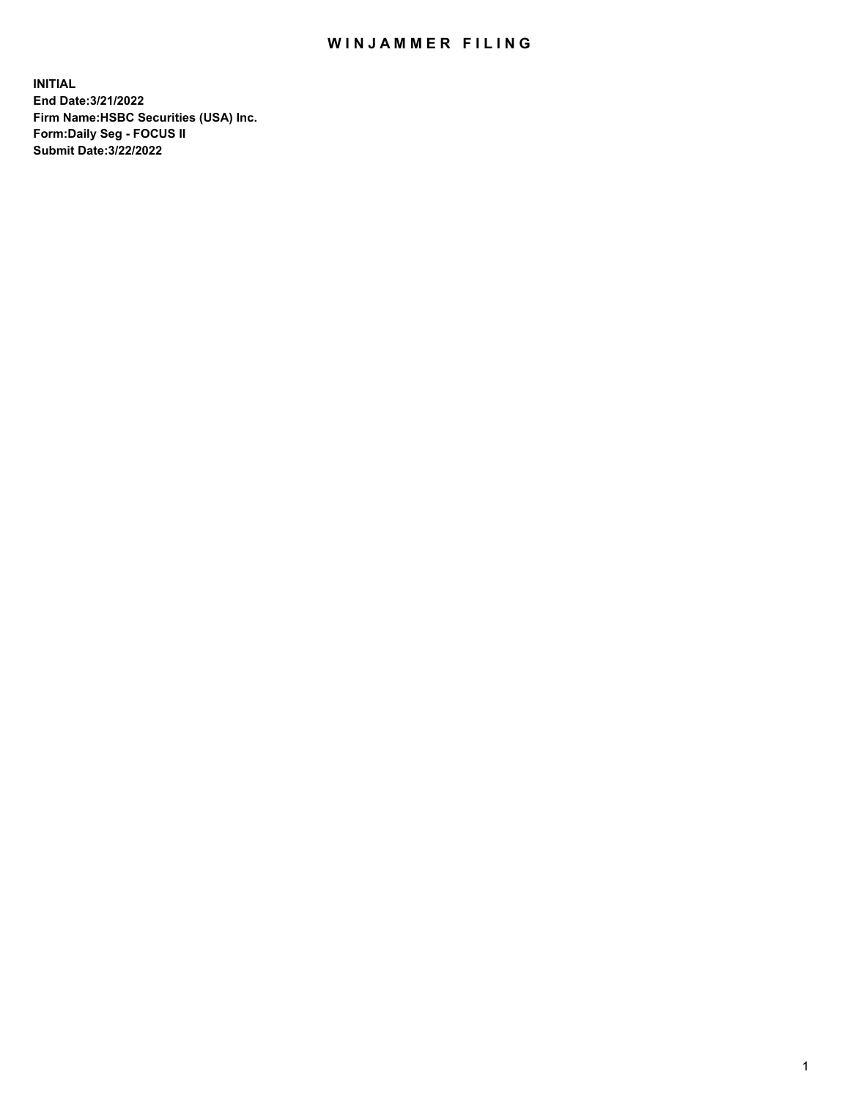## WIN JAMMER FILING

**INITIAL End Date:3/21/2022 Firm Name:HSBC Securities (USA) Inc. Form:Daily Seg - FOCUS II Submit Date:3/22/2022**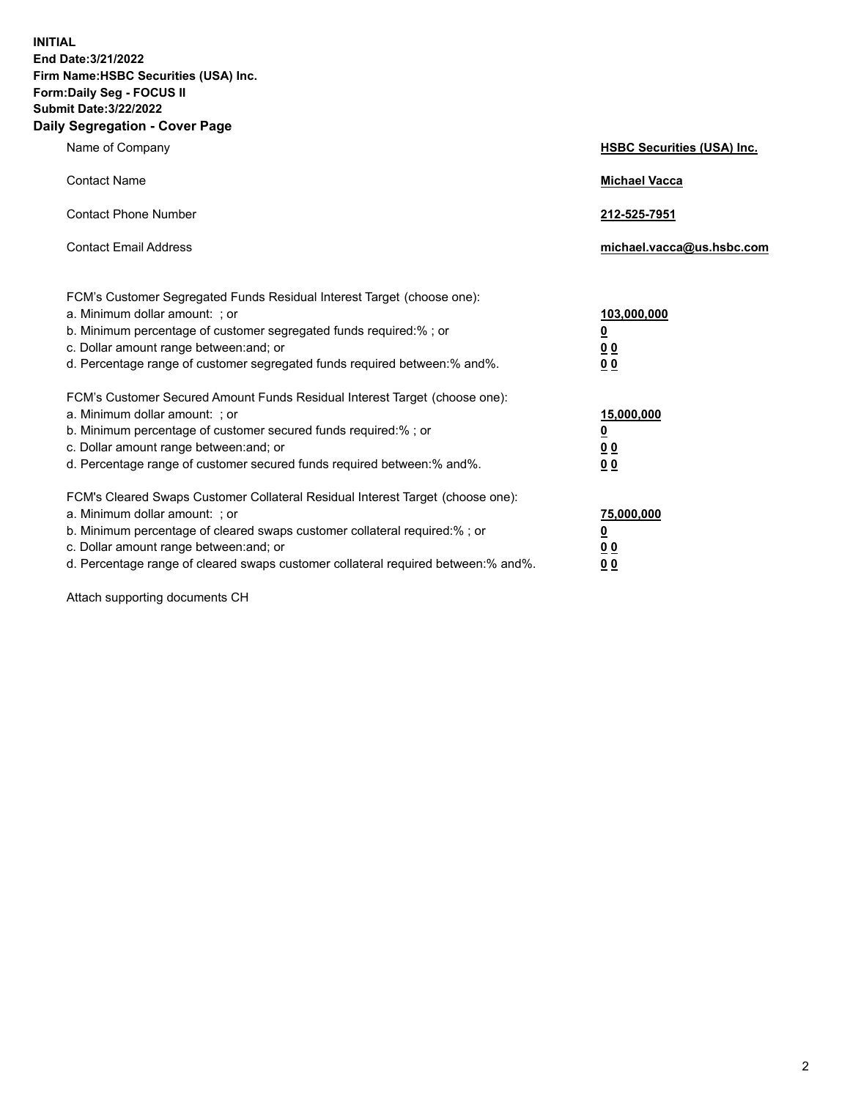**INITIAL End Date:3/21/2022 Firm Name:HSBC Securities (USA) Inc. Form:Daily Seg - FOCUS II Submit Date:3/22/2022 Daily Segregation - Cover Page**

| Name of Company                                                                                                                                                                                                                                                                                                                | <b>HSBC Securities (USA) Inc.</b>                          |
|--------------------------------------------------------------------------------------------------------------------------------------------------------------------------------------------------------------------------------------------------------------------------------------------------------------------------------|------------------------------------------------------------|
| <b>Contact Name</b>                                                                                                                                                                                                                                                                                                            | <b>Michael Vacca</b>                                       |
| <b>Contact Phone Number</b>                                                                                                                                                                                                                                                                                                    | 212-525-7951                                               |
| <b>Contact Email Address</b>                                                                                                                                                                                                                                                                                                   | michael.vacca@us.hsbc.com                                  |
| FCM's Customer Segregated Funds Residual Interest Target (choose one):<br>a. Minimum dollar amount: ; or<br>b. Minimum percentage of customer segregated funds required:%; or<br>c. Dollar amount range between: and; or<br>d. Percentage range of customer segregated funds required between: % and %.                        | 103,000,000<br><u>0</u><br>00<br>0 <sub>0</sub>            |
| FCM's Customer Secured Amount Funds Residual Interest Target (choose one):<br>a. Minimum dollar amount: ; or<br>b. Minimum percentage of customer secured funds required:% ; or<br>c. Dollar amount range between: and; or<br>d. Percentage range of customer secured funds required between:% and%.                           | 15,000,000<br><u>0</u><br>0 <sub>0</sub><br>0 <sub>0</sub> |
| FCM's Cleared Swaps Customer Collateral Residual Interest Target (choose one):<br>a. Minimum dollar amount: ; or<br>b. Minimum percentage of cleared swaps customer collateral required:% ; or<br>c. Dollar amount range between: and; or<br>d. Percentage range of cleared swaps customer collateral required between:% and%. | 75,000,000<br><u>0</u><br>00<br>00                         |

Attach supporting documents CH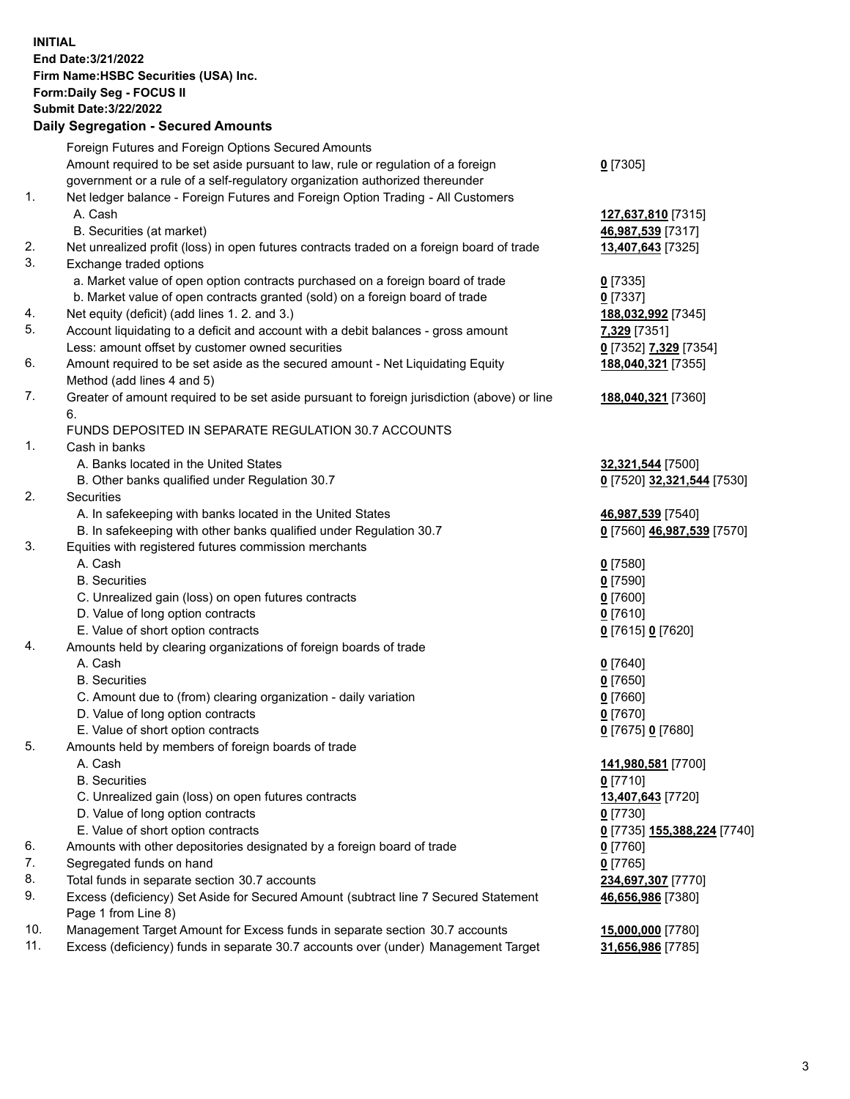**INITIAL End Date:3/21/2022 Firm Name:HSBC Securities (USA) Inc. Form:Daily Seg - FOCUS II Submit Date:3/22/2022 Daily Segregation - Secured Amounts**

|     | Foreign Futures and Foreign Options Secured Amounts                                         |                                                   |
|-----|---------------------------------------------------------------------------------------------|---------------------------------------------------|
|     | Amount required to be set aside pursuant to law, rule or regulation of a foreign            | $0$ [7305]                                        |
|     | government or a rule of a self-regulatory organization authorized thereunder                |                                                   |
| 1.  | Net ledger balance - Foreign Futures and Foreign Option Trading - All Customers             |                                                   |
|     | A. Cash                                                                                     | 127,637,810 [7315]                                |
|     | B. Securities (at market)                                                                   | 46,987,539 [7317]                                 |
| 2.  | Net unrealized profit (loss) in open futures contracts traded on a foreign board of trade   | 13,407,643 [7325]                                 |
| 3.  | Exchange traded options                                                                     |                                                   |
|     | a. Market value of open option contracts purchased on a foreign board of trade              | $0$ [7335]                                        |
|     | b. Market value of open contracts granted (sold) on a foreign board of trade                | $0$ [7337]                                        |
| 4.  | Net equity (deficit) (add lines 1. 2. and 3.)                                               | 188,032,992 [7345]                                |
| 5.  | Account liquidating to a deficit and account with a debit balances - gross amount           | 7,329 [7351]                                      |
|     | Less: amount offset by customer owned securities                                            | 0 [7352] 7,329 [7354]                             |
| 6.  | Amount required to be set aside as the secured amount - Net Liquidating Equity              | 188,040,321 [7355]                                |
|     | Method (add lines 4 and 5)                                                                  |                                                   |
| 7.  | Greater of amount required to be set aside pursuant to foreign jurisdiction (above) or line | 188,040,321 [7360]                                |
|     | 6.                                                                                          |                                                   |
|     | FUNDS DEPOSITED IN SEPARATE REGULATION 30.7 ACCOUNTS                                        |                                                   |
| 1.  | Cash in banks                                                                               |                                                   |
|     | A. Banks located in the United States                                                       | 32,321,544 [7500]                                 |
|     | B. Other banks qualified under Regulation 30.7                                              | 0 [7520] 32,321,544 [7530]                        |
| 2.  | Securities                                                                                  |                                                   |
|     | A. In safekeeping with banks located in the United States                                   | 46,987,539 [7540]                                 |
|     | B. In safekeeping with other banks qualified under Regulation 30.7                          | 0 [7560] 46,987,539 [7570]                        |
| 3.  | Equities with registered futures commission merchants                                       |                                                   |
|     | A. Cash                                                                                     | $0$ [7580]                                        |
|     | <b>B.</b> Securities                                                                        | $0$ [7590]                                        |
|     | C. Unrealized gain (loss) on open futures contracts                                         | $0$ [7600]                                        |
|     | D. Value of long option contracts                                                           | $0$ [7610]                                        |
|     | E. Value of short option contracts                                                          | 0 [7615] 0 [7620]                                 |
| 4.  | Amounts held by clearing organizations of foreign boards of trade                           |                                                   |
|     | A. Cash                                                                                     | $0$ [7640]                                        |
|     | <b>B.</b> Securities                                                                        | $0$ [7650]                                        |
|     | C. Amount due to (from) clearing organization - daily variation                             | $0$ [7660]                                        |
|     | D. Value of long option contracts                                                           | $0$ [7670]                                        |
|     | E. Value of short option contracts                                                          | 0 [7675] 0 [7680]                                 |
| 5.  | Amounts held by members of foreign boards of trade                                          |                                                   |
|     | A. Cash                                                                                     | 141,980,581 [7700]                                |
|     | <b>B.</b> Securities                                                                        | $0$ [7710]                                        |
|     | C. Unrealized gain (loss) on open futures contracts                                         | 13,407,643 [7720]                                 |
|     | D. Value of long option contracts                                                           | $0$ [7730]                                        |
|     | E. Value of short option contracts                                                          | 0 <sup>[7735]</sup> 155,388,224 <sup>[7740]</sup> |
| 6.  | Amounts with other depositories designated by a foreign board of trade                      | $0$ [7760]                                        |
| 7.  | Segregated funds on hand                                                                    | $0$ [7765]                                        |
| 8.  | Total funds in separate section 30.7 accounts                                               | 234,697,307 [7770]                                |
| 9.  | Excess (deficiency) Set Aside for Secured Amount (subtract line 7 Secured Statement         | 46,656,986 [7380]                                 |
|     | Page 1 from Line 8)                                                                         |                                                   |
| 10. | Management Target Amount for Excess funds in separate section 30.7 accounts                 | 15,000,000 [7780]                                 |
| 11. | Excess (deficiency) funds in separate 30.7 accounts over (under) Management Target          | 31,656,986 [7785]                                 |
|     |                                                                                             |                                                   |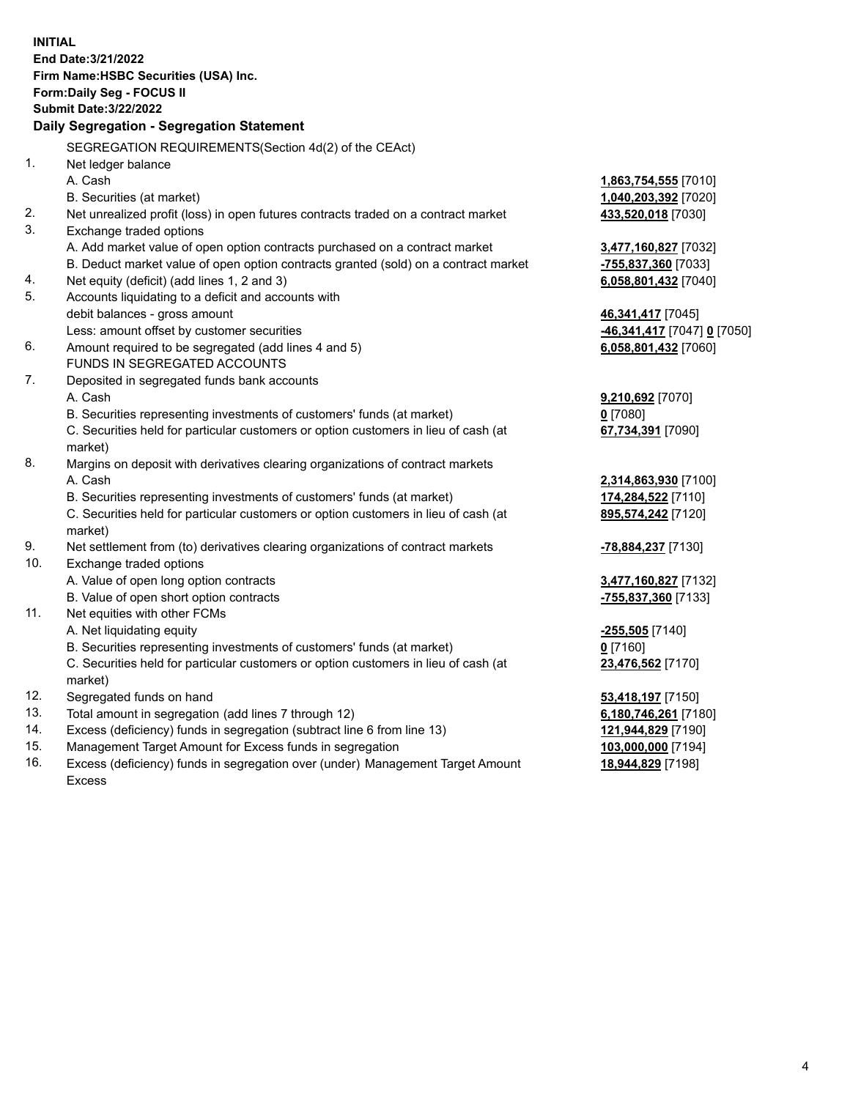**INITIAL End Date:3/21/2022 Firm Name:HSBC Securities (USA) Inc. Form:Daily Seg - FOCUS II Submit Date:3/22/2022 Daily Segregation - Segregation Statement** SEGREGATION REQUIREMENTS(Section 4d(2) of the CEAct) 1. Net ledger balance A. Cash **1,863,754,555** [7010] B. Securities (at market) **1,040,203,392** [7020] 2. Net unrealized profit (loss) in open futures contracts traded on a contract market **433,520,018** [7030] 3. Exchange traded options A. Add market value of open option contracts purchased on a contract market **3,477,160,827** [7032] B. Deduct market value of open option contracts granted (sold) on a contract market **-755,837,360** [7033] 4. Net equity (deficit) (add lines 1, 2 and 3) **6,058,801,432** [7040] 5. Accounts liquidating to a deficit and accounts with debit balances - gross amount **46,341,417** [7045] Less: amount offset by customer securities **-46,341,417** [7047] **0** [7050] 6. Amount required to be segregated (add lines 4 and 5) **6,058,801,432** [7060] FUNDS IN SEGREGATED ACCOUNTS 7. Deposited in segregated funds bank accounts A. Cash **9,210,692** [7070] B. Securities representing investments of customers' funds (at market) **0** [7080] C. Securities held for particular customers or option customers in lieu of cash (at market) **67,734,391** [7090] 8. Margins on deposit with derivatives clearing organizations of contract markets A. Cash **2,314,863,930** [7100] B. Securities representing investments of customers' funds (at market) **174,284,522** [7110] C. Securities held for particular customers or option customers in lieu of cash (at market) **895,574,242** [7120] 9. Net settlement from (to) derivatives clearing organizations of contract markets **-78,884,237** [7130] 10. Exchange traded options A. Value of open long option contracts **3,477,160,827** [7132] B. Value of open short option contracts **-755,837,360** [7133] 11. Net equities with other FCMs A. Net liquidating equity **-255,505** [7140] B. Securities representing investments of customers' funds (at market) **0** [7160] C. Securities held for particular customers or option customers in lieu of cash (at market) **23,476,562** [7170] 12. Segregated funds on hand **53,418,197** [7150] 13. Total amount in segregation (add lines 7 through 12) **6,180,746,261** [7180] 14. Excess (deficiency) funds in segregation (subtract line 6 from line 13) **121,944,829** [7190] 15. Management Target Amount for Excess funds in segregation **103,000,000** [7194]

16. Excess (deficiency) funds in segregation over (under) Management Target Amount Excess

**18,944,829** [7198]